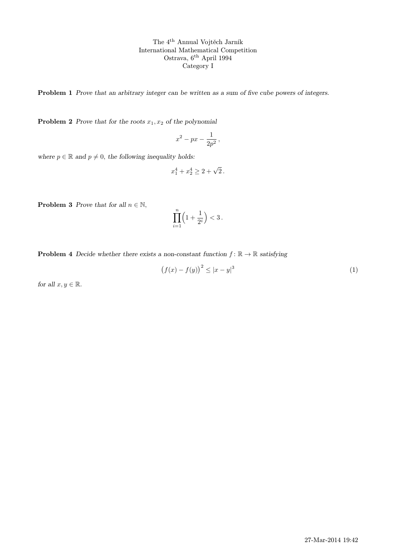The 4th Annual Vojtěch Jarník International Mathematical Competition Ostrava, 6th April 1994 Category I

Problem 1 Prove that an arbitrary integer can be written as a sum of five cube powers of integers.

**Problem 2** Prove that for the roots  $x_1, x_2$  of the polynomial

$$
x^2 - px - \frac{1}{2p^2},
$$

where  $p \in \mathbb{R}$  and  $p \neq 0$ , the following inequality holds:

$$
x_1^4 + x_2^4 \ge 2 + \sqrt{2} \, .
$$

**Problem 3** Prove that for all  $n \in \mathbb{N}$ ,

$$
\prod_{i=1}^n \left(1 + \frac{1}{2^i}\right) < 3
$$

**Problem 4** Decide whether there exists a non-constant function  $f : \mathbb{R} \to \mathbb{R}$  satisfying

$$
(f(x) - f(y))^2 \le |x - y|^3 \tag{1}
$$

for all  $x, y \in \mathbb{R}$ .